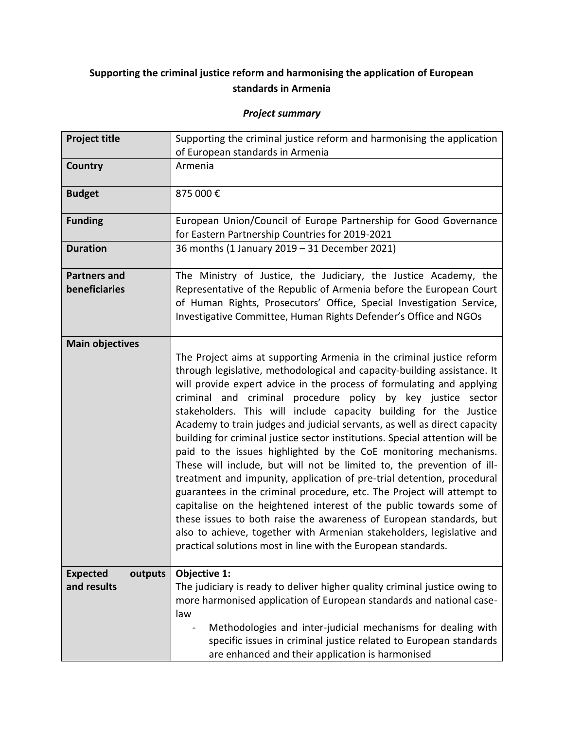## **Supporting the criminal justice reform and harmonising the application of European standards in Armenia**

## *Project summary*

| <b>Project title</b>                      | Supporting the criminal justice reform and harmonising the application<br>of European standards in Armenia                                                                                                                                                                                                                                                                                                                                                                                                                                                                                                                                                                                                                                                                                                                                                                                                                                                                                                                                                                                                             |  |  |
|-------------------------------------------|------------------------------------------------------------------------------------------------------------------------------------------------------------------------------------------------------------------------------------------------------------------------------------------------------------------------------------------------------------------------------------------------------------------------------------------------------------------------------------------------------------------------------------------------------------------------------------------------------------------------------------------------------------------------------------------------------------------------------------------------------------------------------------------------------------------------------------------------------------------------------------------------------------------------------------------------------------------------------------------------------------------------------------------------------------------------------------------------------------------------|--|--|
| <b>Country</b>                            | Armenia                                                                                                                                                                                                                                                                                                                                                                                                                                                                                                                                                                                                                                                                                                                                                                                                                                                                                                                                                                                                                                                                                                                |  |  |
| <b>Budget</b>                             | 875 000€                                                                                                                                                                                                                                                                                                                                                                                                                                                                                                                                                                                                                                                                                                                                                                                                                                                                                                                                                                                                                                                                                                               |  |  |
| <b>Funding</b>                            | European Union/Council of Europe Partnership for Good Governance<br>for Eastern Partnership Countries for 2019-2021                                                                                                                                                                                                                                                                                                                                                                                                                                                                                                                                                                                                                                                                                                                                                                                                                                                                                                                                                                                                    |  |  |
| <b>Duration</b>                           | 36 months (1 January 2019 - 31 December 2021)                                                                                                                                                                                                                                                                                                                                                                                                                                                                                                                                                                                                                                                                                                                                                                                                                                                                                                                                                                                                                                                                          |  |  |
| <b>Partners and</b><br>beneficiaries      | The Ministry of Justice, the Judiciary, the Justice Academy, the<br>Representative of the Republic of Armenia before the European Court<br>of Human Rights, Prosecutors' Office, Special Investigation Service,<br>Investigative Committee, Human Rights Defender's Office and NGOs                                                                                                                                                                                                                                                                                                                                                                                                                                                                                                                                                                                                                                                                                                                                                                                                                                    |  |  |
| <b>Main objectives</b>                    | The Project aims at supporting Armenia in the criminal justice reform<br>through legislative, methodological and capacity-building assistance. It<br>will provide expert advice in the process of formulating and applying<br>criminal and criminal procedure policy by key justice sector<br>stakeholders. This will include capacity building for the Justice<br>Academy to train judges and judicial servants, as well as direct capacity<br>building for criminal justice sector institutions. Special attention will be<br>paid to the issues highlighted by the CoE monitoring mechanisms.<br>These will include, but will not be limited to, the prevention of ill-<br>treatment and impunity, application of pre-trial detention, procedural<br>guarantees in the criminal procedure, etc. The Project will attempt to<br>capitalise on the heightened interest of the public towards some of<br>these issues to both raise the awareness of European standards, but<br>also to achieve, together with Armenian stakeholders, legislative and<br>practical solutions most in line with the European standards. |  |  |
| <b>Expected</b><br>outputs<br>and results | Objective 1:<br>The judiciary is ready to deliver higher quality criminal justice owing to<br>more harmonised application of European standards and national case-<br>law<br>Methodologies and inter-judicial mechanisms for dealing with<br>specific issues in criminal justice related to European standards<br>are enhanced and their application is harmonised                                                                                                                                                                                                                                                                                                                                                                                                                                                                                                                                                                                                                                                                                                                                                     |  |  |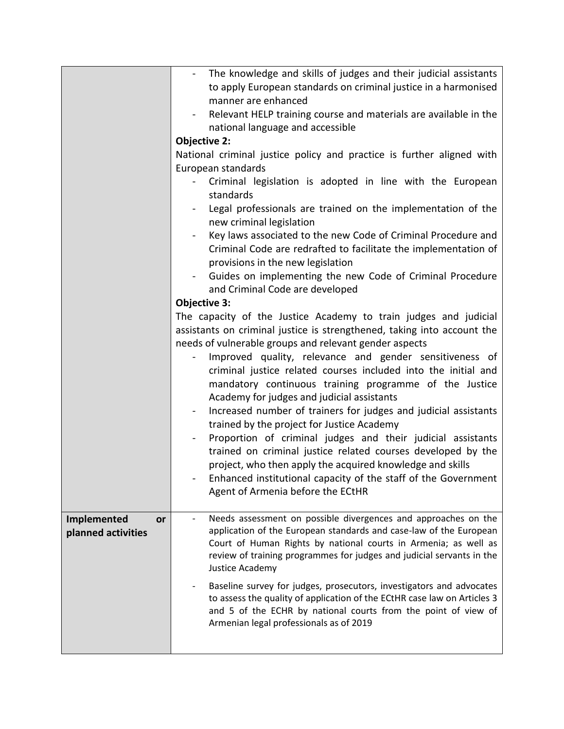|                          | The knowledge and skills of judges and their judicial assistants                                                                                 |  |  |
|--------------------------|--------------------------------------------------------------------------------------------------------------------------------------------------|--|--|
|                          | to apply European standards on criminal justice in a harmonised                                                                                  |  |  |
|                          | manner are enhanced                                                                                                                              |  |  |
|                          | Relevant HELP training course and materials are available in the                                                                                 |  |  |
|                          | national language and accessible                                                                                                                 |  |  |
|                          | <b>Objective 2:</b>                                                                                                                              |  |  |
|                          | National criminal justice policy and practice is further aligned with<br>European standards                                                      |  |  |
|                          | Criminal legislation is adopted in line with the European                                                                                        |  |  |
|                          | standards                                                                                                                                        |  |  |
|                          | Legal professionals are trained on the implementation of the                                                                                     |  |  |
|                          | new criminal legislation                                                                                                                         |  |  |
|                          | Key laws associated to the new Code of Criminal Procedure and                                                                                    |  |  |
|                          | Criminal Code are redrafted to facilitate the implementation of                                                                                  |  |  |
|                          | provisions in the new legislation                                                                                                                |  |  |
|                          | Guides on implementing the new Code of Criminal Procedure<br>$\sim$                                                                              |  |  |
|                          | and Criminal Code are developed                                                                                                                  |  |  |
|                          | <b>Objective 3:</b>                                                                                                                              |  |  |
|                          | The capacity of the Justice Academy to train judges and judicial                                                                                 |  |  |
|                          | assistants on criminal justice is strengthened, taking into account the                                                                          |  |  |
|                          | needs of vulnerable groups and relevant gender aspects                                                                                           |  |  |
|                          | Improved quality, relevance and gender sensitiveness of                                                                                          |  |  |
|                          | criminal justice related courses included into the initial and                                                                                   |  |  |
|                          | mandatory continuous training programme of the Justice                                                                                           |  |  |
|                          | Academy for judges and judicial assistants<br>Increased number of trainers for judges and judicial assistants                                    |  |  |
|                          | trained by the project for Justice Academy                                                                                                       |  |  |
|                          | Proportion of criminal judges and their judicial assistants                                                                                      |  |  |
|                          | trained on criminal justice related courses developed by the                                                                                     |  |  |
|                          | project, who then apply the acquired knowledge and skills                                                                                        |  |  |
|                          | Enhanced institutional capacity of the staff of the Government                                                                                   |  |  |
|                          | Agent of Armenia before the ECtHR                                                                                                                |  |  |
|                          |                                                                                                                                                  |  |  |
| Implemented<br><b>or</b> | Needs assessment on possible divergences and approaches on the                                                                                   |  |  |
| planned activities       | application of the European standards and case-law of the European                                                                               |  |  |
|                          | Court of Human Rights by national courts in Armenia; as well as                                                                                  |  |  |
|                          | review of training programmes for judges and judicial servants in the<br>Justice Academy                                                         |  |  |
|                          |                                                                                                                                                  |  |  |
|                          | Baseline survey for judges, prosecutors, investigators and advocates<br>to assess the quality of application of the ECtHR case law on Articles 3 |  |  |
|                          | and 5 of the ECHR by national courts from the point of view of                                                                                   |  |  |
|                          | Armenian legal professionals as of 2019                                                                                                          |  |  |
|                          |                                                                                                                                                  |  |  |
|                          |                                                                                                                                                  |  |  |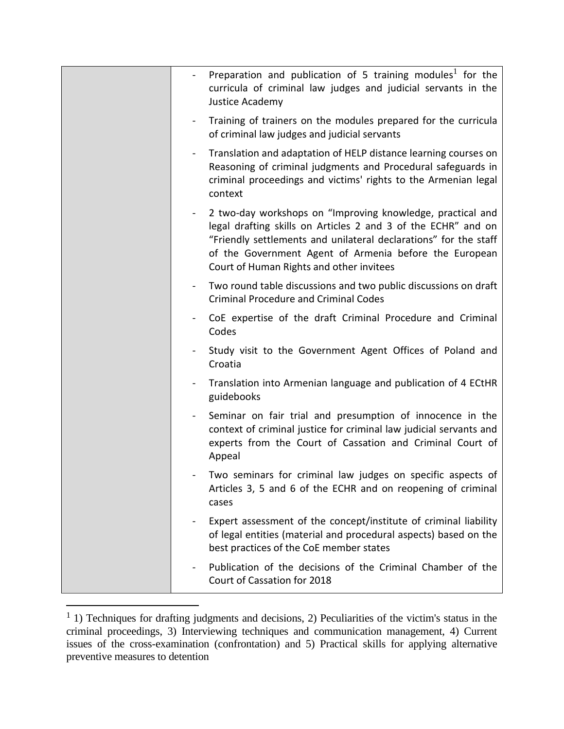|                | Preparation and publication of 5 training modules <sup>1</sup> for the<br>curricula of criminal law judges and judicial servants in the<br>Justice Academy                                                                                                                                            |
|----------------|-------------------------------------------------------------------------------------------------------------------------------------------------------------------------------------------------------------------------------------------------------------------------------------------------------|
| $\blacksquare$ | Training of trainers on the modules prepared for the curricula<br>of criminal law judges and judicial servants                                                                                                                                                                                        |
| $\blacksquare$ | Translation and adaptation of HELP distance learning courses on<br>Reasoning of criminal judgments and Procedural safeguards in<br>criminal proceedings and victims' rights to the Armenian legal<br>context                                                                                          |
|                | 2 two-day workshops on "Improving knowledge, practical and<br>legal drafting skills on Articles 2 and 3 of the ECHR" and on<br>"Friendly settlements and unilateral declarations" for the staff<br>of the Government Agent of Armenia before the European<br>Court of Human Rights and other invitees |
|                | Two round table discussions and two public discussions on draft<br><b>Criminal Procedure and Criminal Codes</b>                                                                                                                                                                                       |
|                | CoE expertise of the draft Criminal Procedure and Criminal<br>Codes                                                                                                                                                                                                                                   |
|                | Study visit to the Government Agent Offices of Poland and<br>Croatia                                                                                                                                                                                                                                  |
|                | Translation into Armenian language and publication of 4 ECtHR<br>guidebooks                                                                                                                                                                                                                           |
|                | Seminar on fair trial and presumption of innocence in the<br>context of criminal justice for criminal law judicial servants and<br>experts from the Court of Cassation and Criminal Court of<br>Appeal                                                                                                |
|                | Two seminars for criminal law judges on specific aspects of<br>Articles 3, 5 and 6 of the ECHR and on reopening of criminal<br>cases                                                                                                                                                                  |
|                | Expert assessment of the concept/institute of criminal liability<br>of legal entities (material and procedural aspects) based on the<br>best practices of the CoE member states                                                                                                                       |
|                | Publication of the decisions of the Criminal Chamber of the<br>Court of Cassation for 2018                                                                                                                                                                                                            |

 $<sup>1</sup>$  1) Techniques for drafting judgments and decisions, 2) Peculiarities of the victim's status in the</sup> criminal proceedings, 3) Interviewing techniques and communication management, 4) Current issues of the cross-examination (confrontation) and 5) Practical skills for applying alternative preventive measures to detention